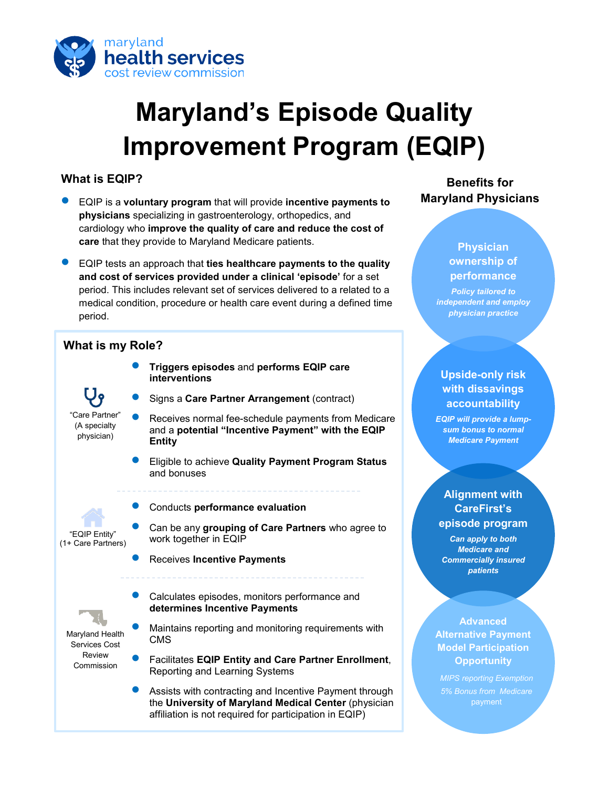

# **Maryland's Episode Quality Improvement Program (EQIP)**

#### **What is EQIP?**

- EQIP is a **voluntary program** that will provide **incentive payments to physicians** specializing in gastroenterology, orthopedics, and cardiology who **improve the quality of care and reduce the cost of care** that they provide to Maryland Medicare patients.
- EQIP tests an approach that **ties healthcare payments to the quality and cost of services provided under a clinical 'episode'** for a set period. This includes relevant set of services delivered to a related to a medical condition, procedure or health care event during a defined time period.

#### **What is my Role?**

- **Triggers episodes** and **performs EQIP care interventions**
- Signs a **Care Partner Arrangement** (contract)
- Receives normal fee-schedule payments from Medicare and a **potential "Incentive Payment" with the EQIP Entity**
	- Eligible to achieve **Quality Payment Program Status** and bonuses

"EQIP Entity"

"Care Partner" (A specialty physician)

(1+ Care Partners)

Maryland Health Services Cost Review Commission

- Conducts **performance evaluation**
- Can be any **grouping of Care Partners** who agree to work together in EQIP
- Receives **Incentive Payments**
- Calculates episodes, monitors performance and **determines Incentive Payments**
- Maintains reporting and monitoring requirements with CMS
- Facilitates **EQIP Entity and Care Partner Enrollment**, Reporting and Learning Systems
- Assists with contracting and Incentive Payment through the **University of Maryland Medical Center** (physician affiliation is not required for participation in EQIP)

### **Benefits for Maryland Physicians**

#### **Physician ownership of performance**

*Policy tailored to independent and employ physician practice* 

#### **Upside-only risk with dissavings accountability**

*EQIP will provide a lumpsum bonus to normal Medicare Payment*

#### **Alignment with CareFirst's episode program**

*Can apply to both Medicare and Commercially insured patients*

#### **Advanced Alternative Payment Model Participation Opportunity**

*MIPS reporting Exemption 5% Bonus from Medicare*